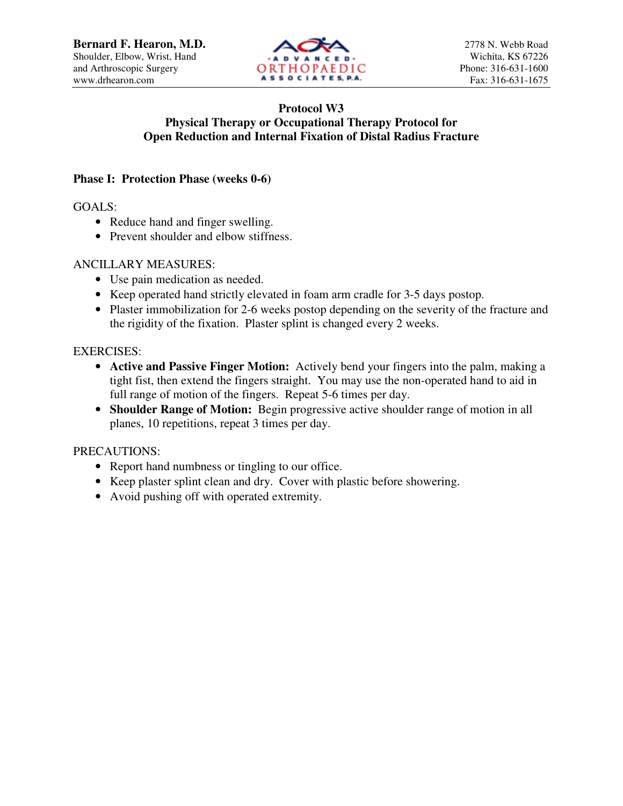

# **Protocol W3 Physical Therapy or Occupational Therapy Protocol for Open Reduction and Internal Fixation of Distal Radius Fracture**

## **Phase I: Protection Phase (weeks 0-6)**

GOALS:

- Reduce hand and finger swelling.
- Prevent shoulder and elbow stiffness.

# ANCILLARY MEASURES:

- Use pain medication as needed.
- Keep operated hand strictly elevated in foam arm cradle for 3-5 days postop.
- Plaster immobilization for 2-6 weeks postop depending on the severity of the fracture and the rigidity of the fixation. Plaster splint is changed every 2 weeks.

# EXERCISES:

- **Active and Passive Finger Motion:** Actively bend your fingers into the palm, making a tight fist, then extend the fingers straight. You may use the non-operated hand to aid in full range of motion of the fingers. Repeat 5-6 times per day.
- **Shoulder Range of Motion:** Begin progressive active shoulder range of motion in all planes, 10 repetitions, repeat 3 times per day.

PRECAUTIONS:

- Report hand numbness or tingling to our office.
- Keep plaster splint clean and dry. Cover with plastic before showering.
- Avoid pushing off with operated extremity.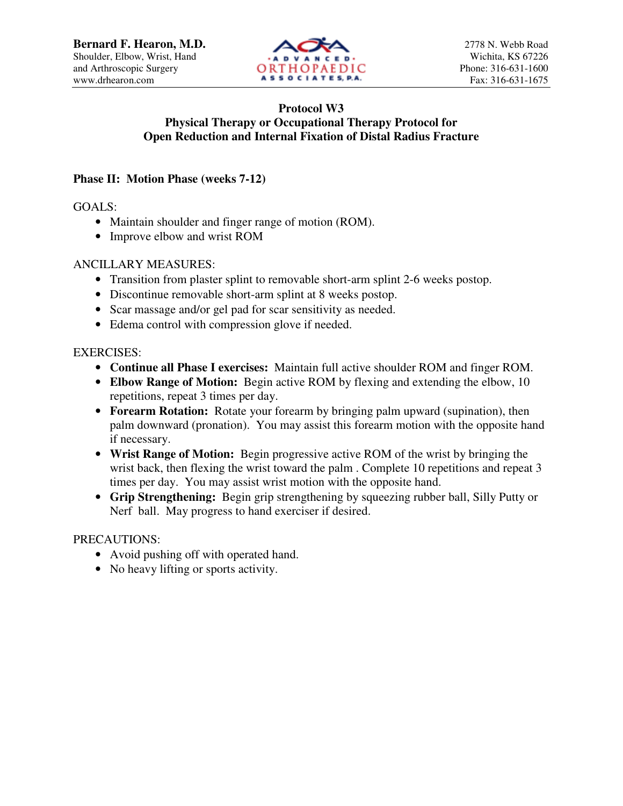

## **Protocol W3 Physical Therapy or Occupational Therapy Protocol for Open Reduction and Internal Fixation of Distal Radius Fracture**

## **Phase II: Motion Phase (weeks 7-12)**

GOALS:

- Maintain shoulder and finger range of motion (ROM).
- Improve elbow and wrist ROM

### ANCILLARY MEASURES:

- Transition from plaster splint to removable short-arm splint 2-6 weeks postop.
- Discontinue removable short-arm splint at 8 weeks postop.
- Scar massage and/or gel pad for scar sensitivity as needed.
- Edema control with compression glove if needed.

#### EXERCISES:

- **Continue all Phase I exercises:** Maintain full active shoulder ROM and finger ROM.
- **Elbow Range of Motion:** Begin active ROM by flexing and extending the elbow, 10 repetitions, repeat 3 times per day.
- **Forearm Rotation:** Rotate your forearm by bringing palm upward (supination), then palm downward (pronation). You may assist this forearm motion with the opposite hand if necessary.
- **Wrist Range of Motion:** Begin progressive active ROM of the wrist by bringing the wrist back, then flexing the wrist toward the palm. Complete 10 repetitions and repeat 3 times per day. You may assist wrist motion with the opposite hand.
- **Grip Strengthening:** Begin grip strengthening by squeezing rubber ball, Silly Putty or Nerf ball. May progress to hand exerciser if desired.

#### PRECAUTIONS:

- Avoid pushing off with operated hand.
- No heavy lifting or sports activity.